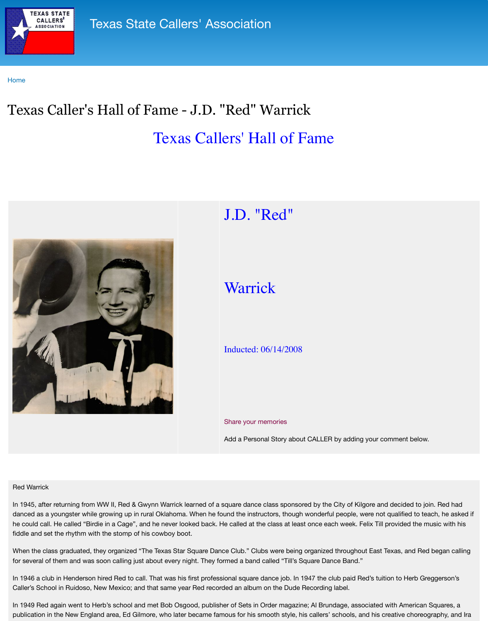

## J. T. C.

# Warrick

## Inducted: 06/14/2008

### Share your memories

Add a Personal Story about C

#### Red Warrick

In 1945, after returning from WW II, Red & Gwynn Warrick learned of a square dance class sponsored danced as a youngster while growing up in rural Oklahoma. When he found the instructors, though we he could call. He called "Birdie in a Cage", and he never looked back. He called at the class at least on fiddle and set the rhythm with the stomp of his cowboy boot.

When the class graduated, they organized "The Texas Star Square Dance Club." Clubs were being organized the Texas, Star Square Dance Club." Clubs were being organized the Texas, and Red Began calling organization calling o for several of them and was soon calling just about every night. They formed a band called "Till's Squ

In 1946 a club in Henderson hired Red to call. That was his first professional square dance job. In 194 Caller's School in Ruidoso, New Mexico; and that same year Red recorded an album on the Dude Request

In 1949 Red again went to Herb's school and met Bob Osgood, publisher of Sets in Order magazine; publication in the New England area, Ed Gilmore, who later became famous for his smooth style, his or